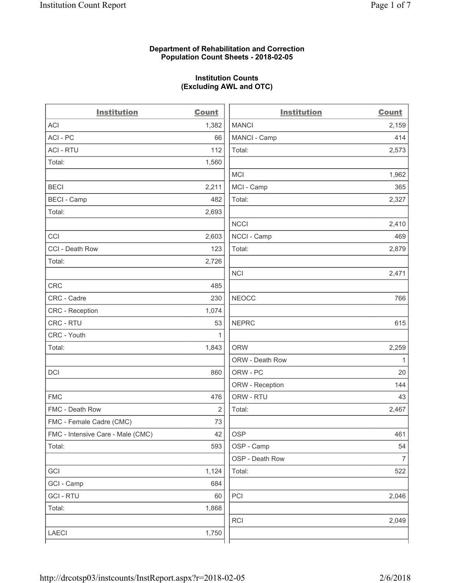## **Department of Rehabilitation and Correction Population Count Sheets - 2018-02-05**

## **Institution Counts (Excluding AWL and OTC)**

 $\overline{a}$ .

| <b>Institution</b>                | <b>Count</b> | <b>Institution</b> | <b>Count</b>   |
|-----------------------------------|--------------|--------------------|----------------|
| <b>ACI</b>                        | 1,382        | <b>MANCI</b>       | 2,159          |
| ACI - PC                          | 66           | MANCI - Camp       | 414            |
| <b>ACI - RTU</b>                  | 112          | Total:             | 2,573          |
| Total:                            | 1,560        |                    |                |
|                                   |              | MCI                | 1,962          |
| <b>BECI</b>                       | 2,211        | MCI - Camp         | 365            |
| <b>BECI</b> - Camp                | 482          | Total:             | 2,327          |
| Total:                            | 2,693        |                    |                |
|                                   |              | <b>NCCI</b>        | 2,410          |
| CCI                               | 2,603        | NCCI - Camp        | 469            |
| CCI - Death Row                   | 123          | Total:             | 2,879          |
| Total:                            | 2,726        |                    |                |
|                                   |              | <b>NCI</b>         | 2,471          |
| <b>CRC</b>                        | 485          |                    |                |
| CRC - Cadre                       | 230          | <b>NEOCC</b>       | 766            |
| CRC - Reception                   | 1,074        |                    |                |
| CRC - RTU                         | 53           | <b>NEPRC</b>       | 615            |
| CRC - Youth                       | 1            |                    |                |
| Total:                            | 1,843        | <b>ORW</b>         | 2,259          |
|                                   |              | ORW - Death Row    | 1              |
| DCI                               | 860          | ORW - PC           | 20             |
|                                   |              | ORW - Reception    | 144            |
| <b>FMC</b>                        | 476          | ORW - RTU          | 43             |
| FMC - Death Row                   | 2            | Total:             | 2,467          |
| FMC - Female Cadre (CMC)          | 73           |                    |                |
| FMC - Intensive Care - Male (CMC) | 42           | OSP                | 461            |
| Total:                            | 593          | OSP - Camp         | 54             |
|                                   |              | OSP - Death Row    | $\overline{7}$ |
| GCI                               | 1,124        | Total:             | 522            |
| GCI - Camp                        | 684          |                    |                |
| <b>GCI-RTU</b>                    | 60           | PCI                | 2,046          |
| Total:                            | 1,868        |                    |                |
|                                   |              | <b>RCI</b>         | 2,049          |
| LAECI                             | 1,750        |                    |                |
|                                   |              |                    |                |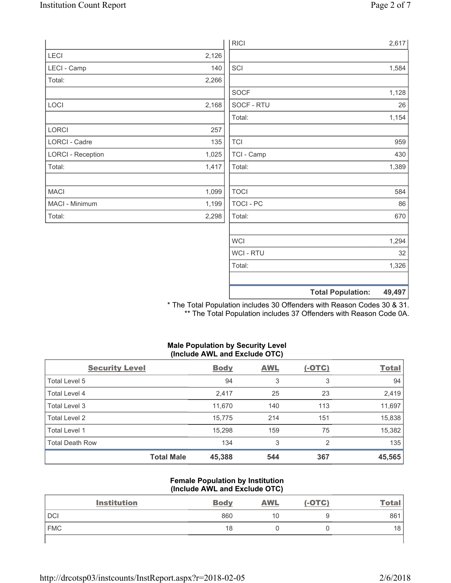|                          |       | <b>RICI</b> | 2,617                              |
|--------------------------|-------|-------------|------------------------------------|
| LECI                     | 2,126 |             |                                    |
| LECI - Camp              | 140   | SCI         | 1,584                              |
| Total:                   | 2,266 |             |                                    |
|                          |       | SOCF        | 1,128                              |
| LOCI                     | 2,168 | SOCF - RTU  | 26                                 |
|                          |       | Total:      | 1,154                              |
| LORCI                    | 257   |             |                                    |
| LORCI - Cadre            | 135   | <b>TCI</b>  | 959                                |
| <b>LORCI - Reception</b> | 1,025 | TCI - Camp  | 430                                |
| Total:                   | 1,417 | Total:      | 1,389                              |
|                          |       |             |                                    |
| <b>MACI</b>              | 1,099 | <b>TOCI</b> | 584                                |
| MACI - Minimum           | 1,199 | TOCI - PC   | 86                                 |
| Total:                   | 2,298 | Total:      | 670                                |
|                          |       |             |                                    |
|                          |       | <b>WCI</b>  | 1,294                              |
|                          |       | WCI - RTU   | 32                                 |
|                          |       | Total:      | 1,326                              |
|                          |       |             |                                    |
|                          |       |             | <b>Total Population:</b><br>49,497 |

\* The Total Population includes 30 Offenders with Reason Codes 30 & 31. \*\* The Total Population includes 37 Offenders with Reason Code 0A.

## **Male Population by Security Level (Include AWL and Exclude OTC)**

| <b>Security Level</b>  |                   | <b>Body</b> | <b>AWL</b> | $(-OTC)$ | <b>Total</b> |
|------------------------|-------------------|-------------|------------|----------|--------------|
| Total Level 5          |                   | 94          | 3          | 3        | 94           |
| Total Level 4          |                   | 2,417       | 25         | 23       | 2,419        |
| Total Level 3          |                   | 11,670      | 140        | 113      | 11,697       |
| Total Level 2          |                   | 15,775      | 214        | 151      | 15,838       |
| Total Level 1          |                   | 15,298      | 159        | 75       | 15,382       |
| <b>Total Death Row</b> |                   | 134         | 3          | 2        | 135          |
|                        | <b>Total Male</b> | 45,388      | 544        | 367      | 45,565       |

#### **Female Population by Institution (Include AWL and Exclude OTC)**

| <b>Institution</b> | <b>Body</b> | <b>AWL</b> | $(-OTC)$ | <u>Total</u>    |
|--------------------|-------------|------------|----------|-----------------|
| <b>DCI</b>         | 860         | 10         |          | 861             |
| <b>FMC</b>         | 18          |            |          | 18 <sub>1</sub> |
|                    |             |            |          |                 |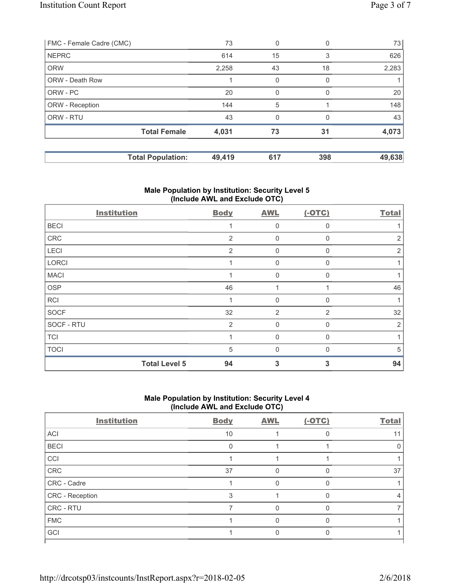| FMC - Female Cadre (CMC) |                          | 73     | 0   | 0        | 73     |
|--------------------------|--------------------------|--------|-----|----------|--------|
| <b>NEPRC</b>             |                          | 614    | 15  | 3        | 626    |
| <b>ORW</b>               |                          | 2,258  | 43  | 18       | 2,283  |
| <b>ORW - Death Row</b>   |                          |        | 0   | 0        |        |
| ORW - PC                 |                          | 20     |     |          | 20     |
| ORW - Reception          |                          | 144    | 5   |          | 148    |
| ORW - RTU                |                          | 43     | 0   | $\Omega$ | 43     |
|                          | <b>Total Female</b>      | 4,031  | 73  | 31       | 4,073  |
|                          | <b>Total Population:</b> | 49,419 | 617 | 398      | 49,638 |

## **Male Population by Institution: Security Level 5 (Include AWL and Exclude OTC)**

| <b>Institution</b>   | <b>Body</b> | <b>AWL</b>   | $(-OTC)$ | <b>Total</b> |
|----------------------|-------------|--------------|----------|--------------|
| <b>BECI</b>          |             | $\mathbf 0$  | $\Omega$ |              |
| ${\sf CRC}$          | 2           | $\mathbf 0$  | 0        | 2            |
| LECI                 | 2           | $\mathbf 0$  | $\Omega$ | 2            |
| <b>LORCI</b>         |             | $\mathbf 0$  | $\Omega$ |              |
| <b>MACI</b>          |             | $\mathbf 0$  | 0        |              |
| OSP                  | 46          |              |          | 46           |
| RCI                  | 4           | $\mathbf 0$  | 0        |              |
| <b>SOCF</b>          | 32          | 2            | 2        | 32           |
| SOCF - RTU           | 2           | $\mathbf 0$  | $\Omega$ | 2            |
| <b>TCI</b>           |             | $\mathbf 0$  | 0        |              |
| <b>TOCI</b>          | 5           | $\mathbf{0}$ |          | 5            |
| <b>Total Level 5</b> | 94          | 3            | 3        | 94           |

# **Male Population by Institution: Security Level 4 (Include AWL and Exclude OTC)**

| <b>Institution</b> | <b>Body</b> | <b>AWL</b> | $(-OTC)$ | <b>Total</b> |
|--------------------|-------------|------------|----------|--------------|
| ACI                | 10          |            | O        |              |
| <b>BECI</b>        | O           |            |          |              |
| CCI                |             |            |          |              |
| CRC                | 37          |            |          | 37           |
| CRC - Cadre        |             | ∩          | O        |              |
| CRC - Reception    | 3           |            |          |              |
| CRC - RTU          |             | U          | O        |              |
| <b>FMC</b>         |             |            |          |              |
| GCI                |             |            |          |              |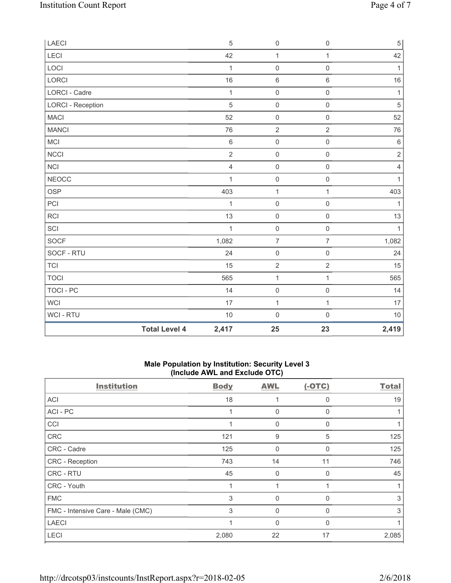| LAECI                    |                      | 5              | $\mathsf{O}\xspace$ | $\mathsf 0$         | $\,$ 5 $\,$    |
|--------------------------|----------------------|----------------|---------------------|---------------------|----------------|
| LECI                     |                      | 42             | $\mathbf{1}$        | $\mathbf{1}$        | 42             |
| LOCI                     |                      | 1              | $\mathsf{O}\xspace$ | $\mathsf{O}\xspace$ | 1              |
| <b>LORCI</b>             |                      | 16             | $\,6\,$             | $\,6\,$             | 16             |
| <b>LORCI - Cadre</b>     |                      | 1              | $\mathsf{O}\xspace$ | $\mathsf 0$         | $\mathbf{1}$   |
| <b>LORCI - Reception</b> |                      | 5              | $\mathsf{O}\xspace$ | $\mathsf 0$         | 5              |
| <b>MACI</b>              |                      | 52             | $\mathsf{O}\xspace$ | $\mathsf{O}\xspace$ | 52             |
| <b>MANCI</b>             |                      | 76             | $\sqrt{2}$          | $\overline{2}$      | 76             |
| MCI                      |                      | $6\,$          | $\mathsf{O}\xspace$ | $\mathsf{O}\xspace$ | $\,$ 6 $\,$    |
| <b>NCCI</b>              |                      | $\overline{2}$ | $\mathbf 0$         | $\mathsf{O}\xspace$ | $\sqrt{2}$     |
| <b>NCI</b>               |                      | $\overline{4}$ | $\mathsf{O}\xspace$ | $\mathsf{O}\xspace$ | $\overline{4}$ |
| <b>NEOCC</b>             |                      | 1              | $\mathsf{O}\xspace$ | $\mathsf{O}\xspace$ | 1              |
| <b>OSP</b>               |                      | 403            | $\mathbf{1}$        | $\mathbf{1}$        | 403            |
| PCI                      |                      | 1              | $\mathsf{O}\xspace$ | $\mathsf 0$         | 1              |
| RCI                      |                      | 13             | $\mathsf{O}\xspace$ | $\mathsf{O}\xspace$ | 13             |
| SCI                      |                      | $\mathbf{1}$   | $\mathsf{O}\xspace$ | $\mathsf{O}\xspace$ | $\mathbf{1}$   |
| SOCF                     |                      | 1,082          | $\overline{7}$      | $\overline{7}$      | 1,082          |
| SOCF - RTU               |                      | 24             | $\mathsf 0$         | $\mathsf{O}\xspace$ | 24             |
| <b>TCI</b>               |                      | 15             | $\overline{2}$      | $\overline{2}$      | 15             |
| <b>TOCI</b>              |                      | 565            | $\mathbf{1}$        | $\mathbf{1}$        | 565            |
| <b>TOCI - PC</b>         |                      | 14             | $\mathsf{O}\xspace$ | $\mathsf{O}\xspace$ | 14             |
| WCI                      |                      | 17             | $\mathbf{1}$        | $\mathbf{1}$        | 17             |
| WCI - RTU                |                      | 10             | $\mathsf{O}\xspace$ | $\mathsf{O}\xspace$ | 10             |
|                          | <b>Total Level 4</b> | 2,417          | 25                  | 23                  | 2,419          |

## **Male Population by Institution: Security Level 3 (Include AWL and Exclude OTC)**

| <b>Institution</b>                | <b>Body</b> | <b>AWL</b>  | $(-OTC)$ | Total |
|-----------------------------------|-------------|-------------|----------|-------|
| ACI                               | 18          |             | 0        | 19    |
| ACI - PC                          |             | 0           | 0        |       |
| CCI                               |             | 0           | 0        |       |
| <b>CRC</b>                        | 121         | 9           | 5        | 125   |
| CRC - Cadre                       | 125         | $\mathbf 0$ | $\Omega$ | 125   |
| CRC - Reception                   | 743         | 14          | 11       | 746   |
| CRC - RTU                         | 45          | $\mathbf 0$ | 0        | 45    |
| CRC - Youth                       |             | 1           |          |       |
| <b>FMC</b>                        | 3           | 0           | 0        | 3     |
| FMC - Intensive Care - Male (CMC) | 3           | 0           | U        | 3     |
| <b>LAECI</b>                      |             | $\mathbf 0$ | 0        |       |
| <b>LECI</b>                       | 2,080       | 22          | 17       | 2,085 |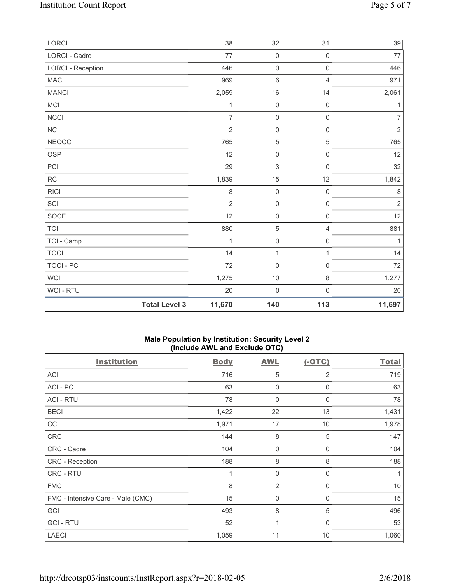| LORCI                    |                      | 38             | 32                  | 31                  | 39             |
|--------------------------|----------------------|----------------|---------------------|---------------------|----------------|
| LORCI - Cadre            |                      | 77             | $\mathsf 0$         | $\mathsf{O}\xspace$ | $77$           |
| <b>LORCI - Reception</b> |                      | 446            | $\mathsf{O}\xspace$ | $\mathsf{O}\xspace$ | 446            |
| MACI                     |                      | 969            | $\,6\,$             | 4                   | 971            |
| <b>MANCI</b>             |                      | 2,059          | 16                  | 14                  | 2,061          |
| MCI                      |                      | 1              | $\mathsf 0$         | $\mathsf{O}\xspace$ | 1              |
| <b>NCCI</b>              |                      | $\overline{7}$ | $\mathsf{O}\xspace$ | $\mathsf{O}\xspace$ | $\overline{7}$ |
| NCI                      |                      | $\overline{2}$ | $\mathbf 0$         | $\mathsf{O}\xspace$ | $\overline{2}$ |
| <b>NEOCC</b>             |                      | 765            | $\,$ 5 $\,$         | $\,$ 5 $\,$         | 765            |
| <b>OSP</b>               |                      | 12             | $\mathsf 0$         | $\mathsf 0$         | 12             |
| PCI                      |                      | 29             | $\mathsf 3$         | $\mathsf{O}\xspace$ | 32             |
| <b>RCI</b>               |                      | 1,839          | 15                  | 12                  | 1,842          |
| <b>RICI</b>              |                      | $\,8\,$        | $\mathsf{O}\xspace$ | $\mathsf{O}\xspace$ | $\,8\,$        |
| SCI                      |                      | $\overline{2}$ | $\mathsf{O}\xspace$ | $\mathsf{O}\xspace$ | $\sqrt{2}$     |
| <b>SOCF</b>              |                      | 12             | $\mathsf{O}\xspace$ | $\mathsf{O}\xspace$ | 12             |
| <b>TCI</b>               |                      | 880            | 5                   | $\overline{4}$      | 881            |
| TCI - Camp               |                      | 1              | $\mathsf{O}\xspace$ | $\mathsf{O}\xspace$ | 1              |
| <b>TOCI</b>              |                      | 14             | $\mathbf 1$         | $\mathbf{1}$        | 14             |
| <b>TOCI - PC</b>         |                      | 72             | $\mathbf 0$         | $\mathsf{O}\xspace$ | 72             |
| <b>WCI</b>               |                      | 1,275          | $10$                | $\,8\,$             | 1,277          |
| <b>WCI - RTU</b>         |                      | 20             | $\mathsf{O}\xspace$ | $\mathsf{O}\xspace$ | 20             |
|                          | <b>Total Level 3</b> | 11,670         | 140                 | 113                 | 11,697         |

## **Male Population by Institution: Security Level 2 (Include AWL and Exclude OTC)**

| <b>Institution</b>                | <b>Body</b> | <b>AWL</b>     | $(-OTC)$       | <b>Total</b> |
|-----------------------------------|-------------|----------------|----------------|--------------|
| <b>ACI</b>                        | 716         | 5              | $\overline{2}$ | 719          |
| ACI-PC                            | 63          | 0              | 0              | 63           |
| <b>ACI - RTU</b>                  | 78          | 0              | 0              | 78           |
| <b>BECI</b>                       | 1,422       | 22             | 13             | 1,431        |
| CCI                               | 1,971       | 17             | 10             | 1,978        |
| <b>CRC</b>                        | 144         | 8              | 5              | 147          |
| CRC - Cadre                       | 104         | 0              | 0              | 104          |
| CRC - Reception                   | 188         | 8              | 8              | 188          |
| CRC - RTU                         | 1           | $\mathbf 0$    | 0              | 1            |
| <b>FMC</b>                        | 8           | $\overline{2}$ | 0              | 10           |
| FMC - Intensive Care - Male (CMC) | 15          | 0              | $\mathbf 0$    | 15           |
| GCI                               | 493         | 8              | 5              | 496          |
| <b>GCI-RTU</b>                    | 52          | 1              | $\Omega$       | 53           |
| <b>LAECI</b>                      | 1,059       | 11             | 10             | 1,060        |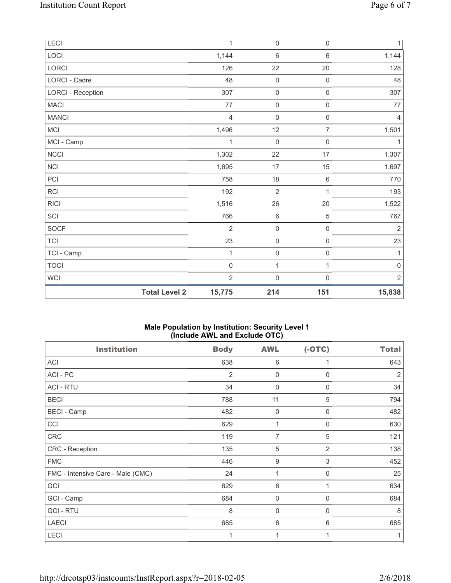| <b>LECI</b>              |                      | $\mathbf{1}$   | $\mathsf 0$         | 0                   | 1                   |
|--------------------------|----------------------|----------------|---------------------|---------------------|---------------------|
| LOCI                     |                      | 1,144          | $\,6\,$             | $\,6\,$             | 1,144               |
| LORCI                    |                      | 126            | 22                  | 20                  | 128                 |
| LORCI - Cadre            |                      | 48             | $\mathsf 0$         | $\mathsf{O}\xspace$ | 48                  |
| <b>LORCI - Reception</b> |                      | 307            | $\mathbf 0$         | $\mathsf{O}\xspace$ | 307                 |
| MACI                     |                      | 77             | $\mathsf{O}\xspace$ | $\mathsf{O}\xspace$ | 77                  |
| <b>MANCI</b>             |                      | $\overline{4}$ | $\mathbf 0$         | $\mathsf 0$         | $\overline{4}$      |
| MCI                      |                      | 1,496          | 12                  | $\overline{7}$      | 1,501               |
| MCI - Camp               |                      | 1              | $\mathbf 0$         | 0                   | 1                   |
| NCCI                     |                      | 1,302          | 22                  | 17                  | 1,307               |
| NCI                      |                      | 1,695          | 17                  | 15                  | 1,697               |
| PCI                      |                      | 758            | 18                  | 6                   | 770                 |
| RCI                      |                      | 192            | $\sqrt{2}$          | 1                   | 193                 |
| <b>RICI</b>              |                      | 1,516          | 26                  | 20                  | 1,522               |
| SCI                      |                      | 766            | $\,6\,$             | 5                   | 767                 |
| <b>SOCF</b>              |                      | $\overline{2}$ | $\mathsf{O}\xspace$ | $\mathsf{O}\xspace$ | $\overline{2}$      |
| TCI                      |                      | 23             | $\mathsf{O}\xspace$ | $\mathsf{O}\xspace$ | 23                  |
| TCI - Camp               |                      | 1              | $\mathsf 0$         | 0                   | 1                   |
| <b>TOCI</b>              |                      | $\mathbf 0$    | $\mathbf 1$         | $\mathbf{1}$        | $\mathsf{O}\xspace$ |
| <b>WCI</b>               |                      | $\overline{2}$ | $\mathbf 0$         | 0                   | $\overline{2}$      |
|                          | <b>Total Level 2</b> | 15,775         | 214                 | 151                 | 15,838              |

## **Male Population by Institution: Security Level 1 (Include AWL and Exclude OTC)**

| <b>Institution</b>                | <b>Body</b> | <b>AWL</b>       | $(-OTC)$    | <b>Total</b>   |
|-----------------------------------|-------------|------------------|-------------|----------------|
| <b>ACI</b>                        | 638         | 6                |             | 643            |
| ACI-PC                            | 2           | 0                | $\Omega$    | $\overline{2}$ |
| <b>ACI - RTU</b>                  | 34          | $\mathbf 0$      | 0           | 34             |
| <b>BECI</b>                       | 788         | 11               | 5           | 794            |
| <b>BECI - Camp</b>                | 482         | 0                | $\mathbf 0$ | 482            |
| CCI                               | 629         | 1                | 0           | 630            |
| <b>CRC</b>                        | 119         | 7                | 5           | 121            |
| CRC - Reception                   | 135         | 5                | 2           | 138            |
| <b>FMC</b>                        | 446         | $\boldsymbol{9}$ | 3           | 452            |
| FMC - Intensive Care - Male (CMC) | 24          | 1                | $\Omega$    | 25             |
| GCI                               | 629         | 6                |             | 634            |
| GCI - Camp                        | 684         | $\mathbf 0$      | 0           | 684            |
| <b>GCI-RTU</b>                    | 8           | $\mathbf 0$      | 0           | 8              |
| <b>LAECI</b>                      | 685         | 6                | 6           | 685            |
| <b>LECI</b>                       | 1           | 1                |             |                |